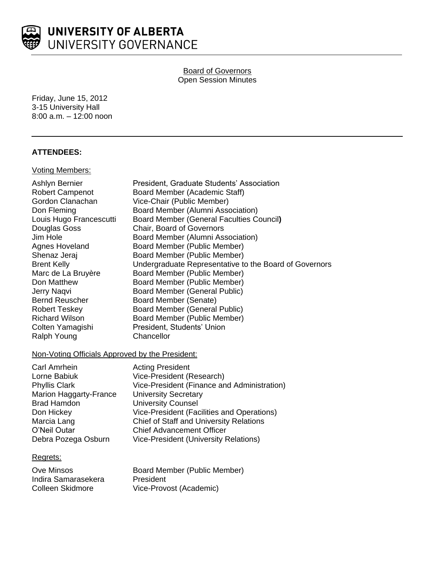

**Board of Governors** Open Session Minutes

Friday, June 15, 2012 3-15 University Hall 8:00 a.m. – 12:00 noon

# **ATTENDEES:**

# Voting Members:

| Ashlyn Bernier<br><b>Robert Campenot</b> | President, Graduate Students' Association<br>Board Member (Academic Staff) |
|------------------------------------------|----------------------------------------------------------------------------|
| Gordon Clanachan                         | Vice-Chair (Public Member)                                                 |
| Don Fleming                              | Board Member (Alumni Association)                                          |
| Louis Hugo Francescutti                  | <b>Board Member (General Faculties Council)</b>                            |
| Douglas Goss                             | <b>Chair, Board of Governors</b>                                           |
| Jim Hole                                 | Board Member (Alumni Association)                                          |
| Agnes Hoveland                           | Board Member (Public Member)                                               |
| Shenaz Jeraj                             | Board Member (Public Member)                                               |
| <b>Brent Kelly</b>                       | Undergraduate Representative to the Board of Governors                     |
| Marc de La Bruyère                       | Board Member (Public Member)                                               |
| Don Matthew                              | Board Member (Public Member)                                               |
| Jerry Naqvi                              | Board Member (General Public)                                              |
| <b>Bernd Reuscher</b>                    | Board Member (Senate)                                                      |
| Robert Teskey                            | <b>Board Member (General Public)</b>                                       |
| <b>Richard Wilson</b>                    | Board Member (Public Member)                                               |
| Colten Yamagishi                         | President, Students' Union                                                 |
| Ralph Young                              | Chancellor                                                                 |
|                                          |                                                                            |

# Non-Voting Officials Approved by the President:

| <b>Acting President</b>                        |
|------------------------------------------------|
| Vice-President (Research)                      |
| Vice-President (Finance and Administration)    |
| <b>University Secretary</b>                    |
| <b>University Counsel</b>                      |
| Vice-President (Facilities and Operations)     |
| <b>Chief of Staff and University Relations</b> |
| <b>Chief Advancement Officer</b>               |
| <b>Vice-President (University Relations)</b>   |
|                                                |

## Regrets:

| Ove Minsos          | Board Member (Public Member) |
|---------------------|------------------------------|
| Indira Samarasekera | President                    |
| Colleen Skidmore    | Vice-Provost (Academic)      |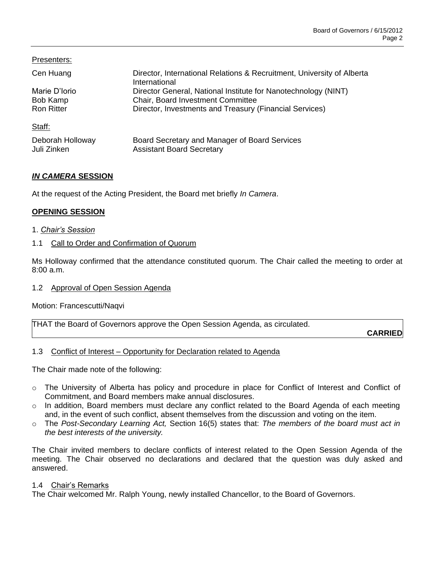| Presenters:       |                                                                                         |
|-------------------|-----------------------------------------------------------------------------------------|
| Cen Huang         | Director, International Relations & Recruitment, University of Alberta<br>International |
| Marie D'Iorio     | Director General, National Institute for Nanotechnology (NINT)                          |
| Bob Kamp          | <b>Chair, Board Investment Committee</b>                                                |
| <b>Ron Ritter</b> | Director, Investments and Treasury (Financial Services)                                 |
| Staff:            |                                                                                         |
| Deborah Holloway  | Board Secretary and Manager of Board Services                                           |
| Juli Zinken       | <b>Assistant Board Secretary</b>                                                        |

# *IN CAMERA* **SESSION**

At the request of the Acting President, the Board met briefly *In Camera*.

# **OPENING SESSION**

1. *Chair's Session*

# 1.1 Call to Order and Confirmation of Quorum

Ms Holloway confirmed that the attendance constituted quorum. The Chair called the meeting to order at 8:00 a.m.

## 1.2 Approval of Open Session Agenda

Motion: Francescutti/Naqvi

| THAT the Board of Governors approve the Open Session Agenda, as circulated. |  |
|-----------------------------------------------------------------------------|--|
|                                                                             |  |

**CARRIED**

## 1.3 Conflict of Interest – Opportunity for Declaration related to Agenda

The Chair made note of the following:

- $\circ$  The University of Alberta has policy and procedure in place for Conflict of Interest and Conflict of Commitment, and Board members make annual disclosures.
- o In addition, Board members must declare any conflict related to the Board Agenda of each meeting and, in the event of such conflict, absent themselves from the discussion and voting on the item.
- o The *Post-Secondary Learning Act,* Section 16(5) states that: *The members of the board must act in the best interests of the university.*

The Chair invited members to declare conflicts of interest related to the Open Session Agenda of the meeting. The Chair observed no declarations and declared that the question was duly asked and answered.

## 1.4 Chair's Remarks

The Chair welcomed Mr. Ralph Young, newly installed Chancellor, to the Board of Governors.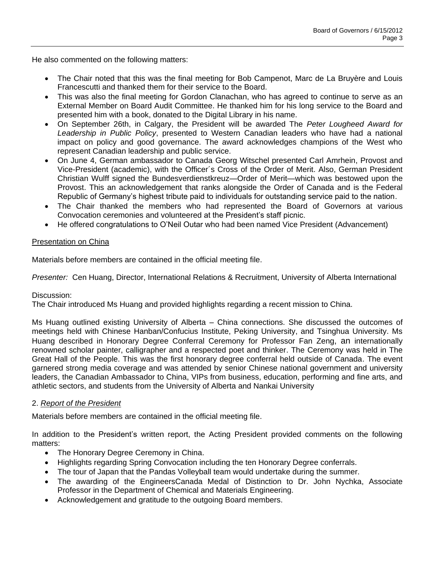He also commented on the following matters:

- The Chair noted that this was the final meeting for Bob Campenot, Marc de La Bruyère and Louis Francescutti and thanked them for their service to the Board.
- This was also the final meeting for Gordon Clanachan, who has agreed to continue to serve as an External Member on Board Audit Committee. He thanked him for his long service to the Board and presented him with a book, donated to the Digital Library in his name.
- On September 26th, in Calgary, the President will be awarded The *Peter Lougheed Award for Leadership in Public Policy*, presented to Western Canadian leaders who have had a national impact on policy and good governance. The award acknowledges champions of the West who represent Canadian leadership and public service.
- On June 4, German ambassador to Canada Georg Witschel presented Carl Amrhein, Provost and Vice-President (academic), with the Officer´s Cross of the Order of Merit. Also, German President Christian Wulff signed the Bundesverdienstkreuz—Order of Merit—which was bestowed upon the Provost. This an acknowledgement that ranks alongside the Order of Canada and is the Federal Republic of Germany's highest tribute paid to individuals for outstanding service paid to the nation.
- The Chair thanked the members who had represented the Board of Governors at various Convocation ceremonies and volunteered at the President's staff picnic.
- He offered congratulations to O'Neil Outar who had been named Vice President (Advancement)

# Presentation on China

Materials before members are contained in the official meeting file.

*Presenter:* Cen Huang, Director, International Relations & Recruitment, University of Alberta International

## Discussion:

The Chair introduced Ms Huang and provided highlights regarding a recent mission to China.

Ms Huang outlined existing University of Alberta – China connections. She discussed the outcomes of meetings held with Chinese Hanban/Confucius Institute, Peking University, and Tsinghua University. Ms Huang described in Honorary Degree Conferral Ceremony for Professor Fan Zeng, an internationally renowned scholar painter, calligrapher and a respected poet and thinker. The Ceremony was held in The Great Hall of the People. This was the first honorary degree conferral held outside of Canada. The event garnered strong media coverage and was attended by senior Chinese national government and university leaders, the Canadian Ambassador to China, VIPs from business, education, performing and fine arts, and athletic sectors, and students from the University of Alberta and Nankai University

# 2. *Report of the President*

Materials before members are contained in the official meeting file.

In addition to the President's written report, the Acting President provided comments on the following matters:

- The Honorary Degree Ceremony in China.
- Highlights regarding Spring Convocation including the ten Honorary Degree conferrals.
- The tour of Japan that the Pandas Volleyball team would undertake during the summer.
- The awarding of the EngineersCanada Medal of Distinction to Dr. John Nychka, Associate Professor in the Department of Chemical and Materials Engineering.
- Acknowledgement and gratitude to the outgoing Board members.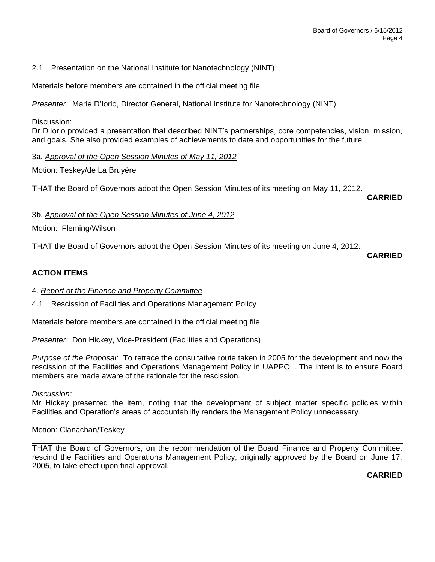## 2.1 Presentation on the National Institute for Nanotechnology (NINT)

Materials before members are contained in the official meeting file.

*Presenter:* Marie D'Iorio, Director General, National Institute for Nanotechnology (NINT)

Discussion:

Dr D'Iorio provided a presentation that described NINT's partnerships, core competencies, vision, mission, and goals. She also provided examples of achievements to date and opportunities for the future.

3a. *Approval of the Open Session Minutes of May 11, 2012*

Motion: Teskey/de La Bruyère

THAT the Board of Governors adopt the Open Session Minutes of its meeting on May 11, 2012.

**CARRIED**

3b. *Approval of the Open Session Minutes of June 4, 2012*

Motion: Fleming/Wilson

THAT the Board of Governors adopt the Open Session Minutes of its meeting on June 4, 2012.

**CARRIED**

# **ACTION ITEMS**

- 4. *Report of the Finance and Property Committee*
- 4.1 Rescission of Facilities and Operations Management Policy

Materials before members are contained in the official meeting file.

*Presenter:* Don Hickey, Vice-President (Facilities and Operations)

*Purpose of the Proposal:* To retrace the consultative route taken in 2005 for the development and now the rescission of the Facilities and Operations Management Policy in UAPPOL. The intent is to ensure Board members are made aware of the rationale for the rescission.

*Discussion:*

Mr Hickey presented the item, noting that the development of subject matter specific policies within Facilities and Operation's areas of accountability renders the Management Policy unnecessary.

Motion: Clanachan/Teskey

THAT the Board of Governors, on the recommendation of the Board Finance and Property Committee, rescind the Facilities and Operations Management Policy, originally approved by the Board on June 17, 2005, to take effect upon final approval.

**CARRIED**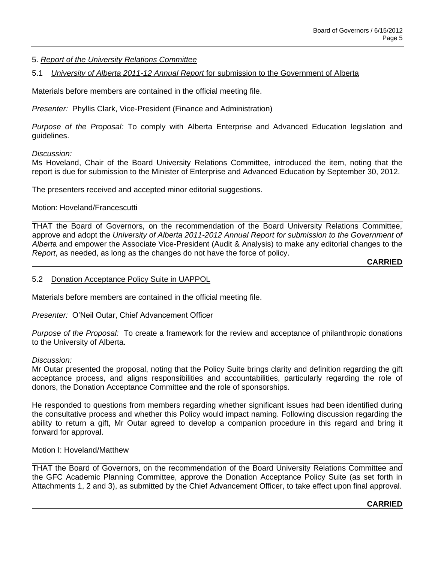## 5. *Report of the University Relations Committee*

## 5.1 *University of Alberta 2011-12 Annual Report* for submission to the Government of Alberta

Materials before members are contained in the official meeting file.

*Presenter:* Phyllis Clark, Vice-President (Finance and Administration)

*Purpose of the Proposal:* To comply with Alberta Enterprise and Advanced Education legislation and guidelines.

## *Discussion:*

Ms Hoveland, Chair of the Board University Relations Committee, introduced the item, noting that the report is due for submission to the Minister of Enterprise and Advanced Education by September 30, 2012.

The presenters received and accepted minor editorial suggestions.

## Motion: Hoveland/Francescutti

THAT the Board of Governors, on the recommendation of the Board University Relations Committee, approve and adopt the *University of Alberta 2011-2012 Annual Report for submission to the Government of Albert*a and empower the Associate Vice-President (Audit & Analysis) to make any editorial changes to the *Report*, as needed, as long as the changes do not have the force of policy.

**CARRIED**

### 5.2 Donation Acceptance Policy Suite in UAPPOL

Materials before members are contained in the official meeting file.

*Presenter:* O'Neil Outar, Chief Advancement Officer

*Purpose of the Proposal:* To create a framework for the review and acceptance of philanthropic donations to the University of Alberta.

#### *Discussion:*

Mr Outar presented the proposal, noting that the Policy Suite brings clarity and definition regarding the gift acceptance process, and aligns responsibilities and accountabilities, particularly regarding the role of donors, the Donation Acceptance Committee and the role of sponsorships.

He responded to questions from members regarding whether significant issues had been identified during the consultative process and whether this Policy would impact naming. Following discussion regarding the ability to return a gift, Mr Outar agreed to develop a companion procedure in this regard and bring it forward for approval.

### Motion I: Hoveland/Matthew

THAT the Board of Governors, on the recommendation of the Board University Relations Committee and the GFC Academic Planning Committee, approve the Donation Acceptance Policy Suite (as set forth in Attachments 1, 2 and 3), as submitted by the Chief Advancement Officer, to take effect upon final approval.

#### **CARRIED**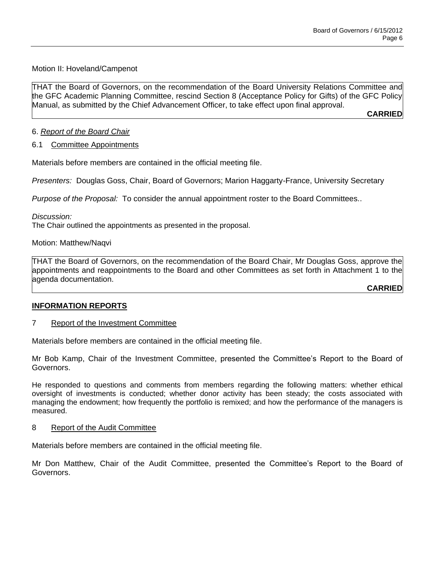## Motion II: Hoveland/Campenot

THAT the Board of Governors, on the recommendation of the Board University Relations Committee and the GFC Academic Planning Committee, rescind Section 8 (Acceptance Policy for Gifts) of the GFC Policy Manual, as submitted by the Chief Advancement Officer, to take effect upon final approval.

**CARRIED**

## 6. *Report of the Board Chair*

## 6.1 Committee Appointments

Materials before members are contained in the official meeting file.

*Presenters:* Douglas Goss, Chair, Board of Governors; Marion Haggarty-France, University Secretary

*Purpose of the Proposal:* To consider the annual appointment roster to the Board Committees..

*Discussion:*

The Chair outlined the appointments as presented in the proposal.

Motion: Matthew/Naqvi

THAT the Board of Governors, on the recommendation of the Board Chair, Mr Douglas Goss, approve the appointments and reappointments to the Board and other Committees as set forth in Attachment 1 to the agenda documentation.

**CARRIED**

## **INFORMATION REPORTS**

## 7 Report of the Investment Committee

Materials before members are contained in the official meeting file.

Mr Bob Kamp, Chair of the Investment Committee, presented the Committee's Report to the Board of Governors.

He responded to questions and comments from members regarding the following matters: whether ethical oversight of investments is conducted; whether donor activity has been steady; the costs associated with managing the endowment; how frequently the portfolio is remixed; and how the performance of the managers is measured.

## 8 Report of the Audit Committee

Materials before members are contained in the official meeting file.

Mr Don Matthew, Chair of the Audit Committee, presented the Committee's Report to the Board of Governors.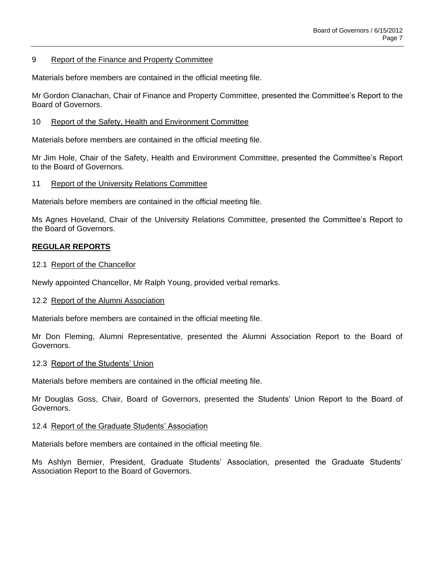## 9 Report of the Finance and Property Committee

Materials before members are contained in the official meeting file.

Mr Gordon Clanachan, Chair of Finance and Property Committee, presented the Committee's Report to the Board of Governors.

## 10 Report of the Safety, Health and Environment Committee

Materials before members are contained in the official meeting file.

Mr Jim Hole, Chair of the Safety, Health and Environment Committee, presented the Committee's Report to the Board of Governors.

## 11 Report of the University Relations Committee

Materials before members are contained in the official meeting file.

Ms Agnes Hoveland, Chair of the University Relations Committee, presented the Committee's Report to the Board of Governors.

## **REGULAR REPORTS**

### 12.1 Report of the Chancellor

Newly appointed Chancellor, Mr Ralph Young, provided verbal remarks.

## 12.2 Report of the Alumni Association

Materials before members are contained in the official meeting file.

Mr Don Fleming, Alumni Representative, presented the Alumni Association Report to the Board of Governors.

#### 12.3 Report of the Students' Union

Materials before members are contained in the official meeting file.

Mr Douglas Goss, Chair, Board of Governors, presented the Students' Union Report to the Board of Governors.

#### 12.4 Report of the Graduate Students' Association

Materials before members are contained in the official meeting file.

Ms Ashlyn Bernier, President, Graduate Students' Association, presented the Graduate Students' Association Report to the Board of Governors.